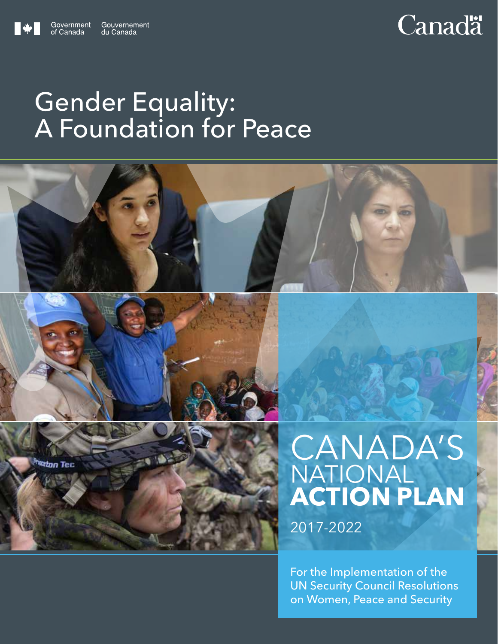

# **Canadä**

## Gender Equality: A Foundation for Peace





# CANADA'S NATIONAL **ACTION PLAN**

2017-2022

For the Implementation of the UN Security Council Resolutions on Women, Peace and Security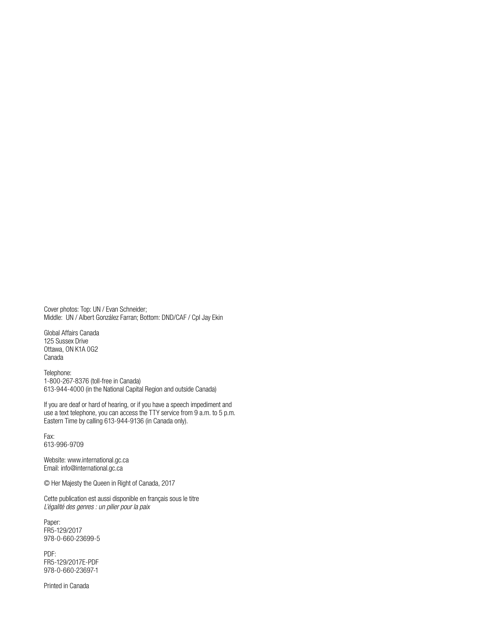Cover photos: Top: UN / Evan Schneider; Middle: UN / Albert González Farran; Bottom: DND/CAF / Cpl Jay Ekin

Global Affairs Canada 125 Sussex Drive Ottawa, ON K1A 0G2 Canada

Telephone: 1-800-267-8376 (toll-free in Canada) 613-944-4000 (in the National Capital Region and outside Canada)

If you are deaf or hard of hearing, or if you have a speech impediment and use a text telephone, you can access the TTY service from 9 a.m. to 5 p.m. Eastern Time by calling 613-944-9136 (in Canada only).

Fax: 613-996-9709

Website: www.international.gc.ca Email: info@international.gc.ca

© Her Majesty the Queen in Right of Canada, 2017

Cette publication est aussi disponible en français sous le titre *L'égalité des genres : un pilier pour la paix*

Paper: FR5-129/2017 978-0-660-23699-5

PDF: FR5-129/2017E-PDF 978-0-660-23697-1

Printed in Canada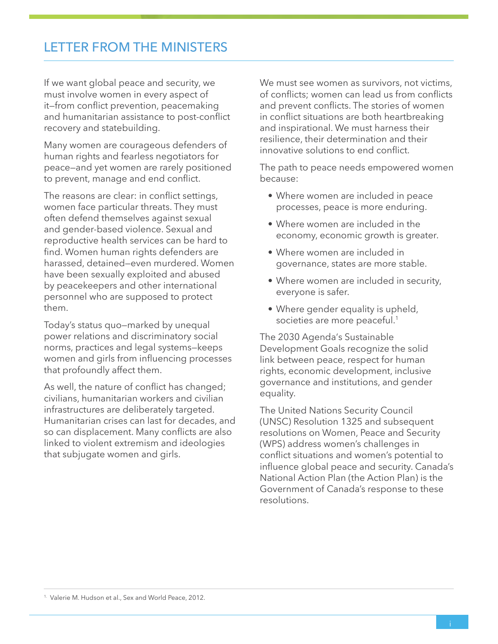## LETTER FROM THE MINISTERS

If we want global peace and security, we must involve women in every aspect of it—from conflict prevention, peacemaking and humanitarian assistance to post-conflict recovery and statebuilding.

Many women are courageous defenders of human rights and fearless negotiators for peace—and yet women are rarely positioned to prevent, manage and end conflict.

The reasons are clear: in conflict settings, women face particular threats. They must often defend themselves against sexual and gender-based violence. Sexual and reproductive health services can be hard to find. Women human rights defenders are harassed, detained—even murdered. Women have been sexually exploited and abused by peacekeepers and other international personnel who are supposed to protect them.

Today's status quo—marked by unequal power relations and discriminatory social norms, practices and legal systems—keeps women and girls from influencing processes that profoundly affect them.

As well, the nature of conflict has changed; civilians, humanitarian workers and civilian infrastructures are deliberately targeted. Humanitarian crises can last for decades, and so can displacement. Many conflicts are also linked to violent extremism and ideologies that subjugate women and girls.

We must see women as survivors, not victims, of conflicts; women can lead us from conflicts and prevent conflicts. The stories of women in conflict situations are both heartbreaking and inspirational. We must harness their resilience, their determination and their innovative solutions to end conflict.

The path to peace needs empowered women because:

- Where women are included in peace processes, peace is more enduring.
- Where women are included in the economy, economic growth is greater.
- Where women are included in governance, states are more stable.
- Where women are included in security, everyone is safer.
- Where gender equality is upheld, societies are more peaceful.<sup>1</sup>

The 2030 Agenda's Sustainable Development Goals recognize the solid link between peace, respect for human rights, economic development, inclusive governance and institutions, and gender equality.

The United Nations Security Council (UNSC) Resolution 1325 and subsequent resolutions on Women, Peace and Security (WPS) address women's challenges in conflict situations and women's potential to influence global peace and security. Canada's National Action Plan (the Action Plan) is the Government of Canada's response to these resolutions.

<sup>&</sup>lt;sup>1.</sup> Valerie M. Hudson et al., Sex and World Peace, 2012.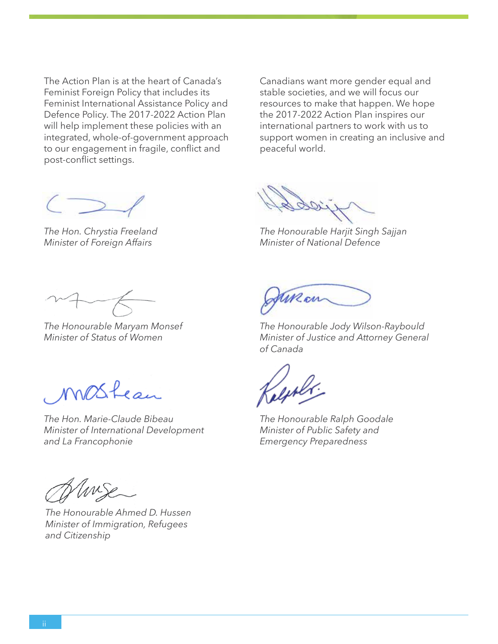The Action Plan is at the heart of Canada's Feminist Foreign Policy that includes its Feminist International Assistance Policy and Defence Policy. The 2017-2022 Action Plan will help implement these policies with an integrated, whole-of-government approach to our engagement in fragile, conflict and post-conflict settings.

Canadians want more gender equal and stable societies, and we will focus our resources to make that happen. We hope the 2017-2022 Action Plan inspires our international partners to work with us to support women in creating an inclusive and peaceful world.

*The Hon. Chrystia Freeland Minister of Foreign Affairs*

Mai

*The Honourable Harjit Singh Sajjan Minister of National Defence*

*The Honourable Maryam Monsef Minister of Status of Women*

MOSfean

*The Hon. Marie-Claude Bibeau Minister of International Development and La Francophonie*

*The Honourable Jody Wilson-Raybould*

June on

*Minister of Justice and Attorney General of Canada*

*The Honourable Ralph Goodale Minister of Public Safety and Emergency Preparedness*

Unise

*The Honourable Ahmed D. Hussen Minister of Immigration, Refugees and Citizenship*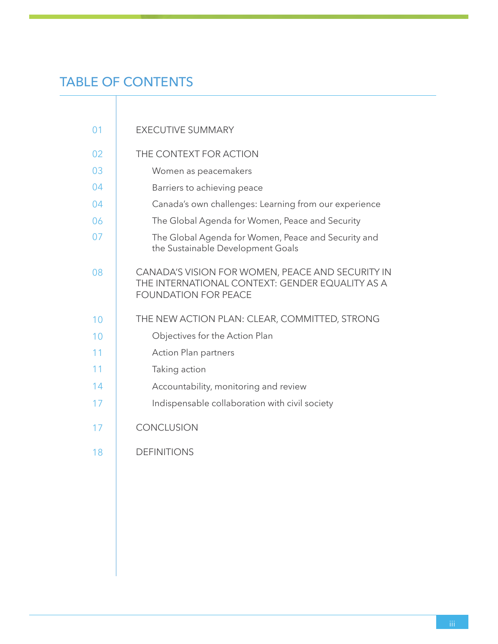## TABLE OF CONTENTS

| 01 | <b>EXECUTIVE SUMMARY</b>                                                                                                           |
|----|------------------------------------------------------------------------------------------------------------------------------------|
| 02 | THE CONTEXT FOR ACTION                                                                                                             |
| 03 | Women as peacemakers                                                                                                               |
| 04 | Barriers to achieving peace                                                                                                        |
| 04 | Canada's own challenges: Learning from our experience                                                                              |
| 06 | The Global Agenda for Women, Peace and Security                                                                                    |
| 07 | The Global Agenda for Women, Peace and Security and<br>the Sustainable Development Goals                                           |
| 08 | CANADA'S VISION FOR WOMEN, PEACE AND SECURITY IN<br>THE INTERNATIONAL CONTEXT: GENDER EQUALITY AS A<br><b>FOUNDATION FOR PEACE</b> |
| 10 | THE NEW ACTION PLAN: CLEAR, COMMITTED, STRONG                                                                                      |
| 10 | Objectives for the Action Plan                                                                                                     |
| 11 | <b>Action Plan partners</b>                                                                                                        |
| 11 | Taking action                                                                                                                      |
| 14 | Accountability, monitoring and review                                                                                              |
| 17 | Indispensable collaboration with civil society                                                                                     |
| 17 | <b>CONCLUSION</b>                                                                                                                  |
| 18 | <b>DEFINITIONS</b>                                                                                                                 |
|    |                                                                                                                                    |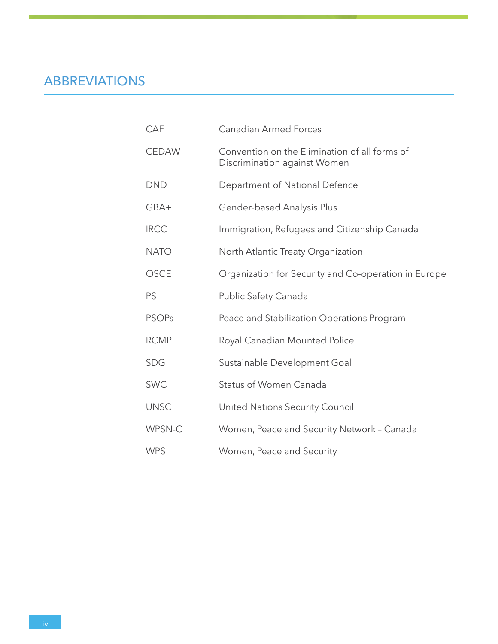## ABBREVIATIONS

| CAF          | <b>Canadian Armed Forces</b>                                                  |
|--------------|-------------------------------------------------------------------------------|
| <b>CEDAW</b> | Convention on the Elimination of all forms of<br>Discrimination against Women |
| <b>DND</b>   | Department of National Defence                                                |
| GBA+         | Gender-based Analysis Plus                                                    |
| <b>IRCC</b>  | Immigration, Refugees and Citizenship Canada                                  |
| <b>NATO</b>  | North Atlantic Treaty Organization                                            |
| <b>OSCE</b>  | Organization for Security and Co-operation in Europe                          |
| PS           | Public Safety Canada                                                          |
| <b>PSOPs</b> | Peace and Stabilization Operations Program                                    |
| <b>RCMP</b>  | Royal Canadian Mounted Police                                                 |
| <b>SDG</b>   | Sustainable Development Goal                                                  |
| <b>SWC</b>   | <b>Status of Women Canada</b>                                                 |
| <b>UNSC</b>  | United Nations Security Council                                               |
| WPSN-C       | Women, Peace and Security Network - Canada                                    |
| <b>WPS</b>   | Women, Peace and Security                                                     |
|              |                                                                               |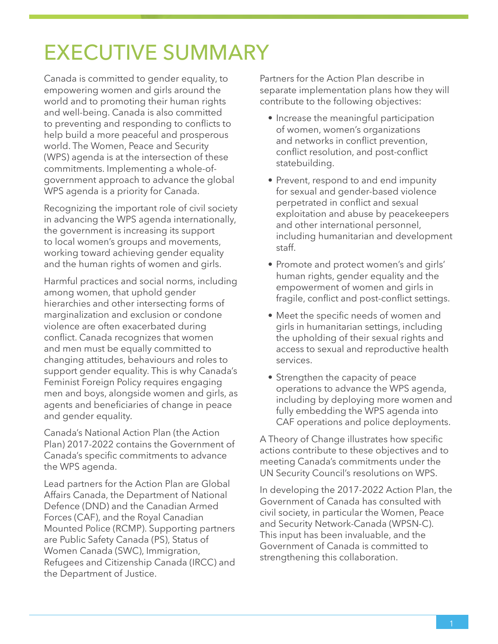## EXECUTIVE SUMMARY

Canada is committed to gender equality, to empowering women and girls around the world and to promoting their human rights and well-being. Canada is also committed to preventing and responding to conflicts to help build a more peaceful and prosperous world. The Women, Peace and Security (WPS) agenda is at the intersection of these commitments. Implementing a whole-ofgovernment approach to advance the global WPS agenda is a priority for Canada.

Recognizing the important role of civil society in advancing the WPS agenda internationally, the government is increasing its support to local women's groups and movements, working toward achieving gender equality and the human rights of women and girls.

Harmful practices and social norms, including among women, that uphold gender hierarchies and other intersecting forms of marginalization and exclusion or condone violence are often exacerbated during conflict. Canada recognizes that women and men must be equally committed to changing attitudes, behaviours and roles to support gender equality. This is why Canada's Feminist Foreign Policy requires engaging men and boys, alongside women and girls, as agents and beneficiaries of change in peace and gender equality.

Canada's National Action Plan (the Action Plan) 2017-2022 contains the Government of Canada's specific commitments to advance the WPS agenda.

Lead partners for the Action Plan are Global Affairs Canada, the Department of National Defence (DND) and the Canadian Armed Forces (CAF), and the Royal Canadian Mounted Police (RCMP). Supporting partners are Public Safety Canada (PS), Status of Women Canada (SWC), Immigration, Refugees and Citizenship Canada (IRCC) and the Department of Justice.

Partners for the Action Plan describe in separate implementation plans how they will contribute to the following objectives:

- Increase the meaningful participation of women, women's organizations and networks in conflict prevention, conflict resolution, and post-conflict statebuilding.
- Prevent, respond to and end impunity for sexual and gender-based violence perpetrated in conflict and sexual exploitation and abuse by peacekeepers and other international personnel, including humanitarian and development staff.
- Promote and protect women's and girls' human rights, gender equality and the empowerment of women and girls in fragile, conflict and post-conflict settings.
- Meet the specific needs of women and girls in humanitarian settings, including the upholding of their sexual rights and access to sexual and reproductive health services.
- Strengthen the capacity of peace operations to advance the WPS agenda, including by deploying more women and fully embedding the WPS agenda into CAF operations and police deployments.

A Theory of Change illustrates how specific actions contribute to these objectives and to meeting Canada's commitments under the UN Security Council's resolutions on WPS.

In developing the 2017-2022 Action Plan, the Government of Canada has consulted with civil society, in particular the Women, Peace and Security Network-Canada (WPSN-C). This input has been invaluable, and the Government of Canada is committed to strengthening this collaboration.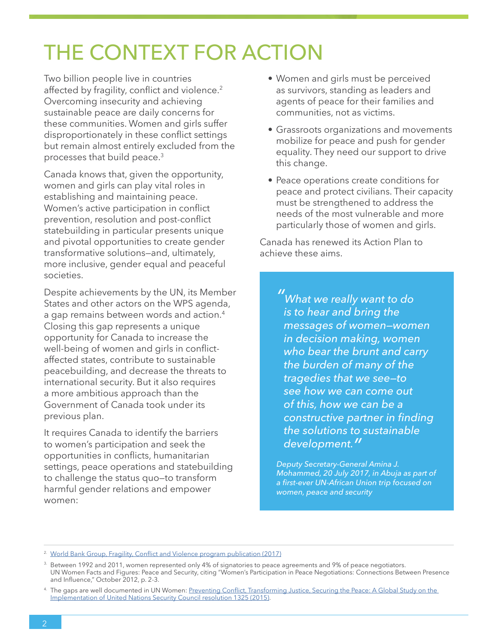## THE CONTEXT FOR ACTION

Two billion people live in countries affected by fragility, conflict and violence.<sup>2</sup> Overcoming insecurity and achieving sustainable peace are daily concerns for these communities. Women and girls suffer disproportionately in these conflict settings but remain almost entirely excluded from the processes that build peace.3

Canada knows that, given the opportunity, women and girls can play vital roles in establishing and maintaining peace. Women's active participation in conflict prevention, resolution and post-conflict statebuilding in particular presents unique and pivotal opportunities to create gender transformative solutions—and, ultimately, more inclusive, gender equal and peaceful societies.

Despite achievements by the UN, its Member States and other actors on the WPS agenda, a gap remains between words and action.<sup>4</sup> Closing this gap represents a unique opportunity for Canada to increase the well-being of women and girls in conflictaffected states, contribute to sustainable peacebuilding, and decrease the threats to international security. But it also requires a more ambitious approach than the Government of Canada took under its previous plan.

It requires Canada to identify the barriers to women's participation and seek the opportunities in conflicts, humanitarian settings, peace operations and statebuilding to challenge the status quo—to transform harmful gender relations and empower women:

- Women and girls must be perceived as survivors, standing as leaders and agents of peace for their families and communities, not as victims.
- Grassroots organizations and movements mobilize for peace and push for gender equality. They need our support to drive this change.
- Peace operations create conditions for peace and protect civilians. Their capacity must be strengthened to address the needs of the most vulnerable and more particularly those of women and girls.

Canada has renewed its Action Plan to achieve these aims.

> *" What we really want to do is to hear and bring the messages of women—women in decision making, women who bear the brunt and carry the burden of many of the tragedies that we see—to see how we can come out of this, how we can be a constructive partner in finding the solutions to sustainable development."*

*Deputy Secretary-General Amina J. Mohammed, 20 July 2017, in Abuja as part of a first-ever UN-African Union trip focused on women, peace and security*

<sup>&</sup>lt;sup>2.</sup> [World Bank Group, Fragility, Conflict and Violence program publication \(2017\)](http://www.worldbank.org/en/topic/fragilityconflictviolence/overview)

Between 1992 and 2011, women represented only 4% of signatories to peace agreements and 9% of peace negotiators. [UN Women Facts and Figures: Peace and Security](http://www.unwomen.org/en/what-we-do/peace-and-security/facts-and-figures), citing "Women's Participation in Peace Negotiations: Connections Between Presence and Influence," October 2012, p. 2-3.

<sup>4.</sup> The gaps are well documented in UN Women: Preventing Conflict, Transforming Justice, Securing the Peace: A Global Study on the [Implementation of United Nations Security Council resolution 1325 \(2015\)](http://wps.unwomen.org/).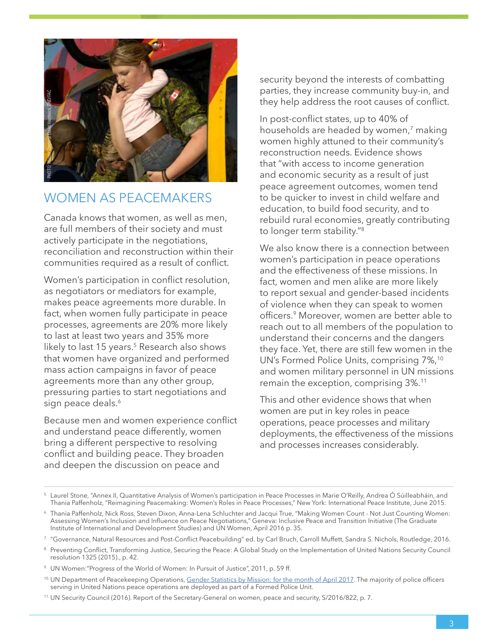

#### WOMEN AS PEACEMAKERS

Canada knows that women, as well as men, are full members of their society and must actively participate in the negotiations, reconciliation and reconstruction within their communities required as a result of conflict.

Women's participation in conflict resolution, as negotiators or mediators for example, makes peace agreements more durable. In fact, when women fully participate in peace processes, agreements are 20% more likely to last at least two years and 35% more likely to last 15 years.<sup>5</sup> Research also shows that women have organized and performed mass action campaigns in favor of peace agreements more than any other group, pressuring parties to start negotiations and sign peace deals.<sup>6</sup> Help start in the start of the Security Council (2016). The master of the Secretary-General on the Secretary-General on the Secretary-General on the Secretary-General on the Secretary-General on the Secretary-General on

Because men and women experience conflict and understand peace differently, women bring a different perspective to resolving conflict and building peace. They broaden and deepen the discussion on peace and

security beyond the interests of combatting parties, they increase community buy-in, and they help address the root causes of conflict.

In post-conflict states, up to 40% of households are headed by women,<sup>7</sup> making women highly attuned to their community's reconstruction needs. Evidence shows that "with access to income generation and economic security as a result of just peace agreement outcomes, women tend to be quicker to invest in child welfare and education, to build food security, and to rebuild rural economies, greatly contributing to longer term stability."<sup>8</sup>

We also know there is a connection between women's participation in peace operations and the effectiveness of these missions. In fact, women and men alike are more likely to report sexual and gender-based incidents of violence when they can speak to women officers.<sup>9</sup> Moreover, women are better able to reach out to all members of the population to understand their concerns and the dangers they face. Yet, there are still few women in the UN's Formed Police Units, comprising 7%,<sup>10</sup> and women military personnel in UN missions remain the exception, comprising 3%.11

This and other evidence shows that when women are put in key roles in peace operations, peace processes and military deployments, the effectiveness of the missions and processes increases considerably.

<sup>5.</sup> Laurel Stone, "Annex II, Quantitative Analysis of Women's participation in Peace Processes in Marie O'Reilly, Andrea Ó Súilleabháin, and Thania Paffenholz, "Reimagining Peacemaking: Women's Roles in Peace Processes," New York: International Peace Institute, June 2015.

<sup>6.</sup> Thania Paffenholz, Nick Ross, Steven Dixon, Anna-Lena Schluchter and Jacqui True, "Making Women Count - Not Just Counting Women: Assessing Women's Inclusion and Influence on Peace Negotiations," Geneva: Inclusive Peace and Transition Initiative (The Graduate Institute of International and Development Studies) and UN Women, April 2016 p. 35.

<sup>7. &</sup>quot;Governance, Natural Resources and Post-Conflict Peacebuilding" ed. by Carl Bruch, Carroll Muffett, Sandra S. Nichols, Routledge, 2016.

<sup>8.</sup> Preventing Conflict, Transforming Justice, Securing the Peace: A Global Study on the Implementation of United Nations Security Council resolution 1325 (2015)., p. 42.

<sup>9.</sup> UN Women:"Progress of the World of Women: In Pursuit of Justice", 2011, p. 59 ff.

<sup>&</sup>lt;sup>10.</sup> UN Department of Peacekeeping Operations, <u>[Gender Statistics by Mission: for the month of April 2017](http://www.un.org/en/peacekeeping/contributors/gender/2017gender/apr17.pdf)</u>. The majority of police officers serving in United Nations peace operations are deployed as part of a Formed Police Unit.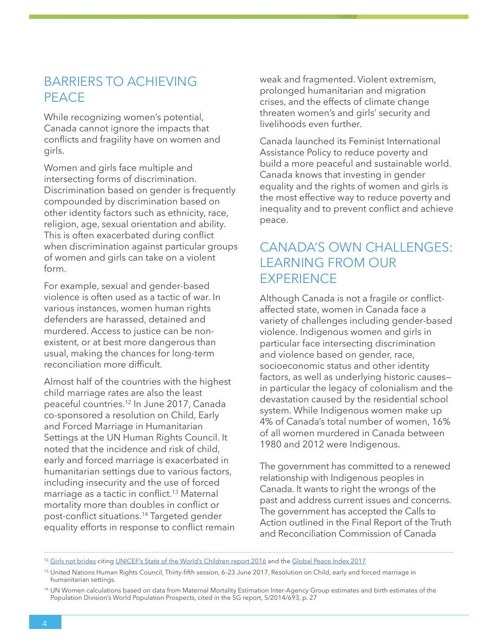### BARRIERS TO ACHIEVING PEACE

While recognizing women's potential, Canada cannot ignore the impacts that conflicts and fragility have on women and girls.

Women and girls face multiple and intersecting forms of discrimination. Discrimination based on gender is frequently compounded by discrimination based on other identity factors such as ethnicity, race, religion, age, sexual orientation and ability. This is often exacerbated during conflict when discrimination against particular groups of women and girls can take on a violent form.

For example, sexual and gender-based violence is often used as a tactic of war. In various instances, women human rights defenders are harassed, detained and murdered. Access to justice can be nonexistent, or at best more dangerous than usual, making the chances for long-term reconciliation more difficult.

Almost half of the countries with the highest child marriage rates are also the least peaceful countries.12 In June 2017, Canada co-sponsored a resolution on Child, Early and Forced Marriage in Humanitarian Settings at the UN Human Rights Council. It noted that the incidence and risk of child, early and forced marriage is exacerbated in humanitarian settings due to various factors, including insecurity and the use of forced marriage as a tactic in conflict.13 Maternal mortality more than doubles in conflict or post-conflict situations.14 Targeted gender equality efforts in response to conflict remain weak and fragmented. Violent extremism, prolonged humanitarian and migration crises, and the effects of climate change threaten women's and girls' security and livelihoods even further.

Canada launched its Feminist International Assistance Policy to reduce poverty and build a more peaceful and sustainable world. Canada knows that investing in gender equality and the rights of women and girls is the most effective way to reduce poverty and inequality and to prevent conflict and achieve peace.

## CANADA'S OWN CHALLENGES: LEARNING FROM OUR **EXPERIENCE**

Although Canada is not a fragile or conflictaffected state, women in Canada face a variety of challenges including gender-based violence. Indigenous women and girls in particular face intersecting discrimination and violence based on gender, race, socioeconomic status and other identity factors, as well as underlying historic causes in particular the legacy of colonialism and the devastation caused by the residential school system. While Indigenous women make up 4% of Canada's total number of women, 16% of all women murdered in Canada between 1980 and 2012 were Indigenous.

The government has committed to a renewed relationship with Indigenous peoples in Canada. It wants to right the wrongs of the past and address current issues and concerns. The government has accepted the Calls to Action outlined in the Final Report of the Truth and Reconciliation Commission of Canada

<sup>&</sup>lt;sup>12.</sup> [Girls not brides](https://www.girlsnotbrides.org/where-does-it-happen/) citing [UNICEF's State of the World's Children report 2016](https://www.unicef.org/sowc2016/) and the [Global Peace Index 2017](http://visionofhumanity.org/app/uploads/2017/06/GPI17-Report.pdf)

<sup>13.</sup> United Nations Human Rights Council, Thirty-fifth session, 6-23 June 2017, Resolution on Child, early and forced marriage in humanitarian settings.

<sup>14.</sup> [UN Women calculations](http://www.unwomen.org/en/what-we-do/peace-and-security/facts-and-figures) based on data from Maternal Mortality Estimation Inter-Agency Group estimates and birth estimates of the Population Division's World Population Prospects, cited in the SG report, S/2014/693, p. 27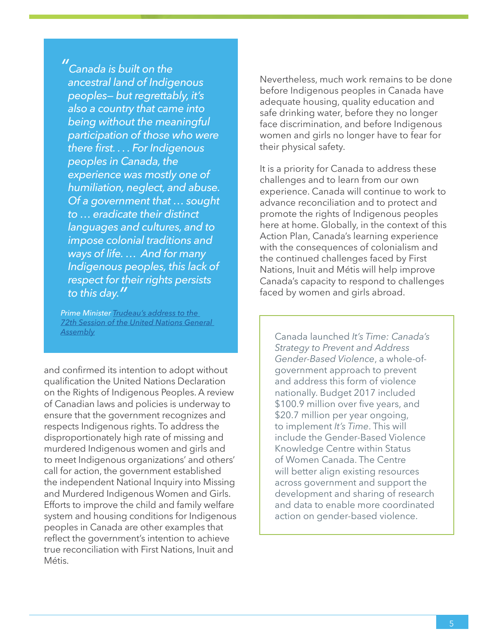*" Canada is built on the ancestral land of Indigenous peoples— but regrettably, it's also a country that came into being without the meaningful participation of those who were there first. . . . For Indigenous peoples in Canada, the experience was mostly one of humiliation, neglect, and abuse. Of a government that … sought to … eradicate their distinct languages and cultures, and to impose colonial traditions and ways of life. … And for many Indigenous peoples, this lack of respect for their rights persists to this day."*

*Prime Minister [Trudeau's address to the](https://pm.gc.ca/eng/news/2017/09/21/prime-minister-justin-trudeaus-address-72th-session-united-nations-general-assembly)  [72th Session of the United Nations General](https://pm.gc.ca/eng/news/2017/09/21/prime-minister-justin-trudeaus-address-72th-session-united-nations-general-assembly)  [Assembly](https://pm.gc.ca/eng/news/2017/09/21/prime-minister-justin-trudeaus-address-72th-session-united-nations-general-assembly)* Canada launched *It's Time: Canada's* 

and confirmed its intention to adopt without qualification the United Nations Declaration on the Rights of Indigenous Peoples. A review of Canadian laws and policies is underway to ensure that the government recognizes and respects Indigenous rights. To address the disproportionately high rate of missing and murdered Indigenous women and girls and to meet Indigenous organizations' and others' call for action, the government established the independent National Inquiry into Missing and Murdered Indigenous Women and Girls. Efforts to improve the child and family welfare system and housing conditions for Indigenous peoples in Canada are other examples that reflect the government's intention to achieve true reconciliation with First Nations, Inuit and Métis.

Nevertheless, much work remains to be done before Indigenous peoples in Canada have adequate housing, quality education and safe drinking water, before they no longer face discrimination, and before Indigenous women and girls no longer have to fear for their physical safety.

It is a priority for Canada to address these challenges and to learn from our own experience. Canada will continue to work to advance reconciliation and to protect and promote the rights of Indigenous peoples here at home. Globally, in the context of this Action Plan, Canada's learning experience with the consequences of colonialism and the continued challenges faced by First Nations, Inuit and Métis will help improve Canada's capacity to respond to challenges faced by women and girls abroad.

*Strategy to Prevent and Address Gender-Based Violence*, a whole-ofgovernment approach to prevent and address this form of violence nationally. Budget 2017 included \$100.9 million over five years, and \$20.7 million per year ongoing, to implement *It's Time*. This will include the Gender-Based Violence Knowledge Centre within Status of Women Canada. The Centre will better align existing resources across government and support the development and sharing of research and data to enable more coordinated action on gender-based violence.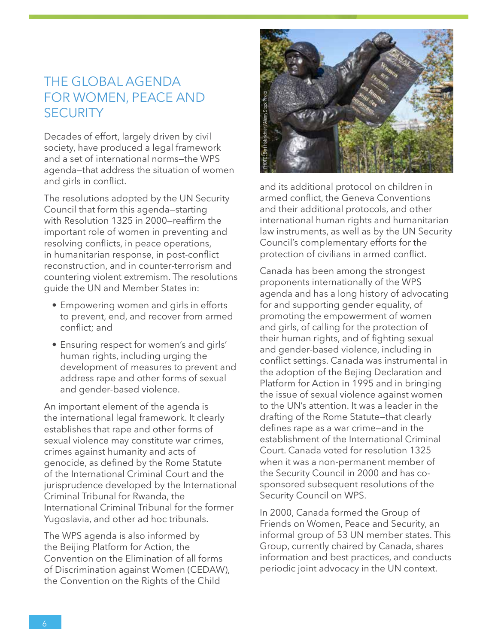## THE GLOBAL AGENDA FOR WOMEN, PEACE AND **SECURITY**

Decades of effort, largely driven by civil society, have produced a legal framework and a set of international norms—the WPS agenda—that address the situation of women and girls in conflict.

The resolutions adopted by the UN Security Council that form this agenda—starting with Resolution 1325 in 2000—reaffirm the important role of women in preventing and resolving conflicts, in peace operations, in humanitarian response, in post-conflict reconstruction, and in counter-terrorism and countering violent extremism. The resolutions guide the UN and Member States in:

- Empowering women and girls in efforts to prevent, end, and recover from armed conflict; and
- Ensuring respect for women's and girls' human rights, including urging the development of measures to prevent and address rape and other forms of sexual and gender-based violence.

An important element of the agenda is the international legal framework. It clearly establishes that rape and other forms of sexual violence may constitute war crimes, crimes against humanity and acts of genocide, as defined by the Rome Statute of the International Criminal Court and the jurisprudence developed by the International Criminal Tribunal for Rwanda, the International Criminal Tribunal for the former Yugoslavia, and other ad hoc tribunals.

The WPS agenda is also informed by the Beijing Platform for Action, the Convention on the Elimination of all forms of Discrimination against Women (CEDAW), the Convention on the Rights of the Child



and its additional protocol on children in armed conflict, the Geneva Conventions and their additional protocols, and other international human rights and humanitarian law instruments, as well as by the UN Security Council's complementary efforts for the protection of civilians in armed conflict.

Canada has been among the strongest proponents internationally of the WPS agenda and has a long history of advocating for and supporting gender equality, of promoting the empowerment of women and girls, of calling for the protection of their human rights, and of fighting sexual and gender-based violence, including in conflict settings. Canada was instrumental in the adoption of the Bejing Declaration and Platform for Action in 1995 and in bringing the issue of sexual violence against women to the UN's attention. It was a leader in the drafting of the Rome Statute—that clearly defines rape as a war crime—and in the establishment of the International Criminal Court. Canada voted for resolution 1325 when it was a non-permanent member of the Security Council in 2000 and has cosponsored subsequent resolutions of the Security Council on WPS. **Example 12**<br> **Example 20**<br> **Example 20**<br> **Example 20**<br> **Example 20**<br> **Example 20**<br> **Example 20**<br> **Example 20**<br> **Example 20**<br> **Example 20**<br> **Example 20**<br> **Example 20**<br> **Example 20**<br> **Example 20**<br> **Example 20**<br> **Example 20** 

In 2000, Canada formed the Group of Friends on Women, Peace and Security, an informal group of 53 UN member states. This Group, currently chaired by Canada, shares information and best practices, and conducts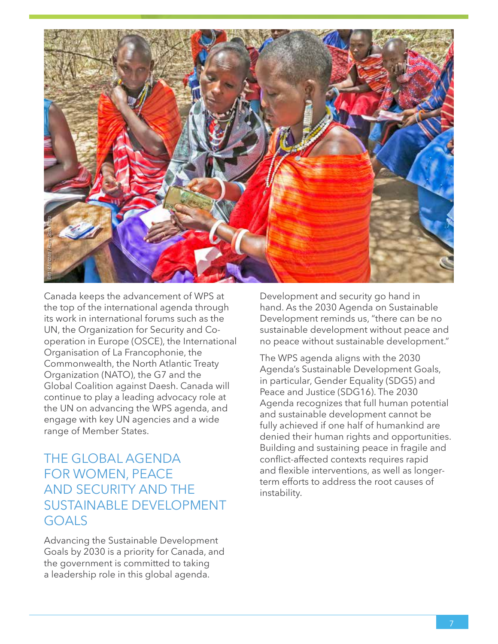

Canada keeps the advancement of WPS at the top of the international agenda through its work in international forums such as the UN, the Organization for Security and Cooperation in Europe (OSCE), the International Organisation of La Francophonie, the Commonwealth, the North Atlantic Treaty Organization (NATO), the G7 and the Global Coalition against Daesh. Canada will continue to play a leading advocacy role at the UN on advancing the WPS agenda, and engage with key UN agencies and a wide range of Member States.

### THE GLOBAL AGENDA FOR WOMEN, PEACE AND SECURITY AND THE SUSTAINABLE DEVELOPMENT GOALS

Advancing the Sustainable Development Goals by 2030 is a priority for Canada, and the government is committed to taking a leadership role in this global agenda.

Development and security go hand in hand. As the 2030 Agenda on Sustainable Development reminds us, "there can be no sustainable development without peace and no peace without sustainable development."

The WPS agenda aligns with the 2030 Agenda's Sustainable Development Goals, in particular, Gender Equality (SDG5) and Peace and Justice (SDG16). The 2030 Agenda recognizes that full human potential and sustainable development cannot be fully achieved if one half of humankind are denied their human rights and opportunities. Building and sustaining peace in fragile and conflict-affected contexts requires rapid and flexible interventions, as well as longerterm efforts to address the root causes of instability.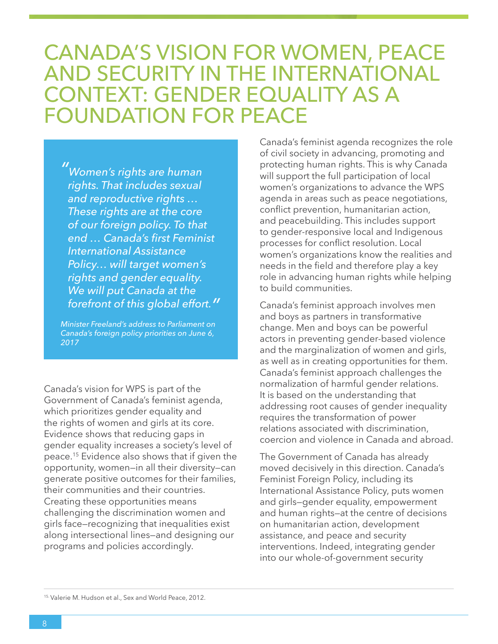## CANADA'S VISION FOR WOMEN, PEACE AND SECURITY IN THE INTERNATIONAL CONTEXT: GENDER EQUALITY AS A FOUNDATION FOR PEACE

*" Women's rights are human rights. That includes sexual and reproductive rights … These rights are at the core of our foreign policy. To that end … Canada's first Feminist International Assistance Policy… will target women's rights and gender equality. We will put Canada at the forefront of this global effort."*

*Minister Freeland's address to Parliament on Canada's foreign policy priorities on June 6, 2017*

Canada's vision for WPS is part of the Government of Canada's feminist agenda, which prioritizes gender equality and the rights of women and girls at its core. Evidence shows that reducing gaps in gender equality increases a society's level of peace.15 Evidence also shows that if given the opportunity, women—in all their diversity—can generate positive outcomes for their families, their communities and their countries. Creating these opportunities means challenging the discrimination women and girls face—recognizing that inequalities exist along intersectional lines—and designing our programs and policies accordingly.

Canada's feminist agenda recognizes the role of civil society in advancing, promoting and protecting human rights. This is why Canada will support the full participation of local women's organizations to advance the WPS agenda in areas such as peace negotiations, conflict prevention, humanitarian action, and peacebuilding. This includes support to gender-responsive local and Indigenous processes for conflict resolution. Local women's organizations know the realities and needs in the field and therefore play a key role in advancing human rights while helping to build communities.

Canada's feminist approach involves men and boys as partners in transformative change. Men and boys can be powerful actors in preventing gender-based violence and the marginalization of women and girls, as well as in creating opportunities for them. Canada's feminist approach challenges the normalization of harmful gender relations. It is based on the understanding that addressing root causes of gender inequality requires the transformation of power relations associated with discrimination, coercion and violence in Canada and abroad.

The Government of Canada has already moved decisively in this direction. Canada's Feminist Foreign Policy, including its International Assistance Policy, puts women and girls—gender equality, empowerment and human rights—at the centre of decisions on humanitarian action, development assistance, and peace and security interventions. Indeed, integrating gender into our whole-of-government security

<sup>15.</sup> Valerie M. Hudson et al., Sex and World Peace, 2012.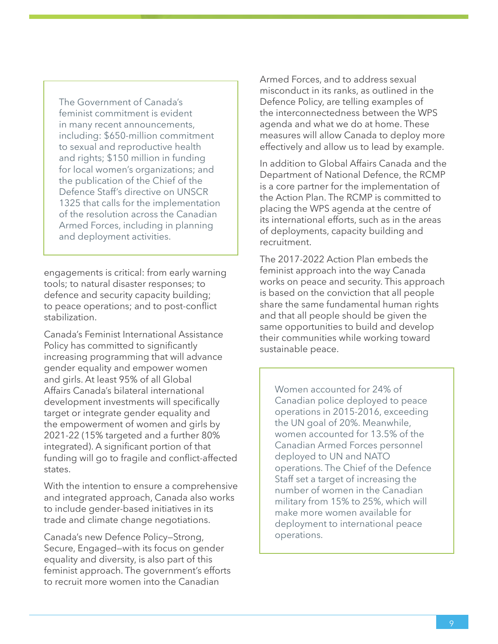The Government of Canada's feminist commitment is evident in many recent announcements, including: \$650-million commitment to sexual and reproductive health and rights; \$150 million in funding for local women's organizations; and the publication of the Chief of the Defence Staff's directive on UNSCR 1325 that calls for the implementation of the resolution across the Canadian Armed Forces, including in planning and deployment activities.

engagements is critical: from early warning tools; to natural disaster responses; to defence and security capacity building; to peace operations; and to post-conflict stabilization.

Canada's Feminist International Assistance Policy has committed to significantly increasing programming that will advance gender equality and empower women and girls. At least 95% of all Global Affairs Canada's bilateral international development investments will specifically target or integrate gender equality and the empowerment of women and girls by 2021-22 (15% targeted and a further 80% integrated). A significant portion of that funding will go to fragile and conflict-affected states.

With the intention to ensure a comprehensive and integrated approach, Canada also works to include gender-based initiatives in its trade and climate change negotiations.

Canada's new Defence Policy—Strong, Secure, Engaged—with its focus on gender equality and diversity, is also part of this feminist approach. The government's efforts to recruit more women into the Canadian

Armed Forces, and to address sexual misconduct in its ranks, as outlined in the Defence Policy, are telling examples of the interconnectedness between the WPS agenda and what we do at home. These measures will allow Canada to deploy more effectively and allow us to lead by example.

In addition to Global Affairs Canada and the Department of National Defence, the RCMP is a core partner for the implementation of the Action Plan. The RCMP is committed to placing the WPS agenda at the centre of its international efforts, such as in the areas of deployments, capacity building and recruitment.

The 2017-2022 Action Plan embeds the feminist approach into the way Canada works on peace and security. This approach is based on the conviction that all people share the same fundamental human rights and that all people should be given the same opportunities to build and develop their communities while working toward sustainable peace.

Women accounted for 24% of Canadian police deployed to peace operations in 2015-2016, exceeding the UN goal of 20%. Meanwhile, women accounted for 13.5% of the Canadian Armed Forces personnel deployed to UN and NATO operations. The Chief of the Defence Staff set a target of increasing the number of women in the Canadian military from 15% to 25%, which will make more women available for deployment to international peace operations.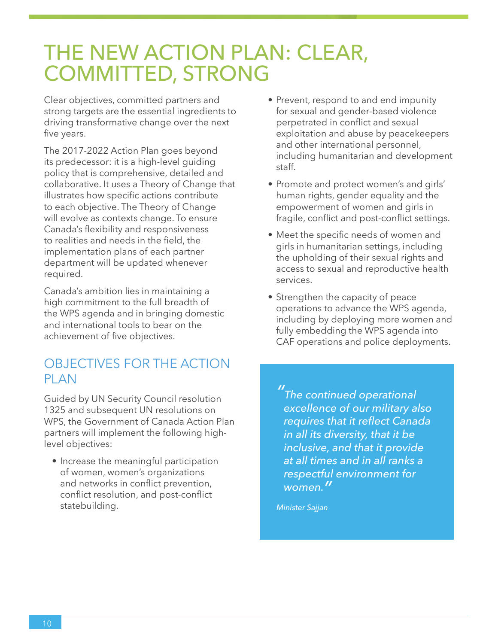## THE NEW ACTION PLAN: CLEAR, COMMITTED, STRONG

Clear objectives, committed partners and strong targets are the essential ingredients to driving transformative change over the next five years.

The 2017-2022 Action Plan goes beyond its predecessor: it is a high-level guiding policy that is comprehensive, detailed and collaborative. It uses a Theory of Change that illustrates how specific actions contribute to each objective. The Theory of Change will evolve as contexts change. To ensure Canada's flexibility and responsiveness to realities and needs in the field, the implementation plans of each partner department will be updated whenever required.

Canada's ambition lies in maintaining a high commitment to the full breadth of the WPS agenda and in bringing domestic and international tools to bear on the achievement of five objectives.

## OBJECTIVES FOR THE ACTION PI AN

Guided by UN Security Council resolution 1325 and subsequent UN resolutions on WPS, the Government of Canada Action Plan partners will implement the following highlevel objectives:

• Increase the meaningful participation of women, women's organizations and networks in conflict prevention, conflict resolution, and post-conflict statebuilding.

- Prevent, respond to and end impunity for sexual and gender-based violence perpetrated in conflict and sexual exploitation and abuse by peacekeepers and other international personnel, including humanitarian and development staff.
- Promote and protect women's and girls' human rights, gender equality and the empowerment of women and girls in fragile, conflict and post-conflict settings.
- Meet the specific needs of women and girls in humanitarian settings, including the upholding of their sexual rights and access to sexual and reproductive health services.
- Strengthen the capacity of peace operations to advance the WPS agenda, including by deploying more women and fully embedding the WPS agenda into CAF operations and police deployments.

*" The continued operational excellence of our military also requires that it reflect Canada in all its diversity, that it be inclusive, and that it provide at all times and in all ranks a respectful environment for women."*

*Minister Sajjan*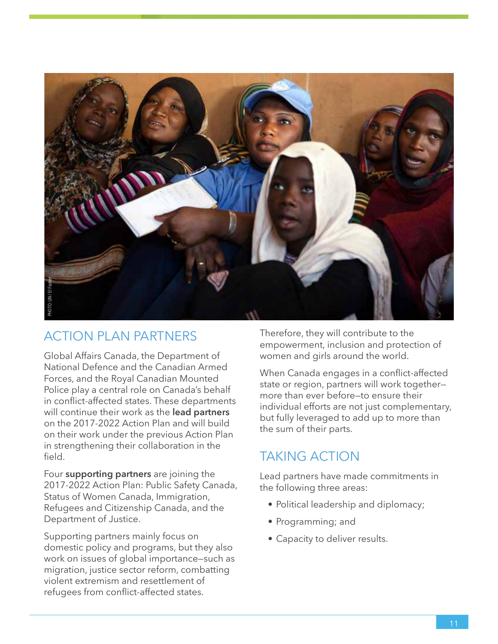

### ACTION PLAN PARTNERS

Global Affairs Canada, the Department of National Defence and the Canadian Armed Forces, and the Royal Canadian Mounted Police play a central role on Canada's behalf in conflict-affected states. These departments will continue their work as the **lead partners** on the 2017-2022 Action Plan and will build on their work under the previous Action Plan in strengthening their collaboration in the field.

Four **supporting partners** are joining the 2017-2022 Action Plan: Public Safety Canada, Status of Women Canada, Immigration, Refugees and Citizenship Canada, and the Department of Justice.

Supporting partners mainly focus on domestic policy and programs, but they also work on issues of global importance—such as migration, justice sector reform, combatting violent extremism and resettlement of refugees from conflict-affected states.

Therefore, they will contribute to the empowerment, inclusion and protection of women and girls around the world.

When Canada engages in a conflict-affected state or region, partners will work together more than ever before—to ensure their individual efforts are not just complementary, but fully leveraged to add up to more than the sum of their parts.

### TAKING ACTION

Lead partners have made commitments in the following three areas:

- Political leadership and diplomacy;
- Programming; and
- Capacity to deliver results.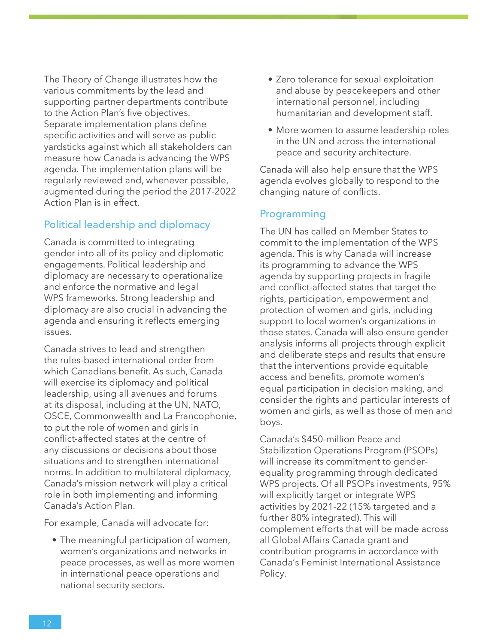The Theory of Change illustrates how the various commitments by the lead and supporting partner departments contribute to the Action Plan's five objectives. Separate implementation plans define specific activities and will serve as public yardsticks against which all stakeholders can measure how Canada is advancing the WPS agenda. The implementation plans will be regularly reviewed and, whenever possible, augmented during the period the 2017-2022 Action Plan is in effect.

#### Political leadership and diplomacy

Canada is committed to integrating gender into all of its policy and diplomatic engagements. Political leadership and diplomacy are necessary to operationalize and enforce the normative and legal WPS frameworks. Strong leadership and diplomacy are also crucial in advancing the agenda and ensuring it reflects emerging issues.

Canada strives to lead and strengthen the rules-based international order from which Canadians benefit. As such, Canada will exercise its diplomacy and political leadership, using all avenues and forums at its disposal, including at the UN, NATO, OSCE, Commonwealth and La Francophonie, to put the role of women and girls in conflict-affected states at the centre of any discussions or decisions about those situations and to strengthen international norms. In addition to multilateral diplomacy, Canada's mission network will play a critical role in both implementing and informing Canada's Action Plan.

For example, Canada will advocate for:

• The meaningful participation of women, women's organizations and networks in peace processes, as well as more women in international peace operations and national security sectors.

- Zero tolerance for sexual exploitation and abuse by peacekeepers and other international personnel, including humanitarian and development staff.
- More women to assume leadership roles in the UN and across the international peace and security architecture.

Canada will also help ensure that the WPS agenda evolves globally to respond to the changing nature of conflicts.

#### Programming

The UN has called on Member States to commit to the implementation of the WPS agenda. This is why Canada will increase its programming to advance the WPS agenda by supporting projects in fragile and conflict-affected states that target the rights, participation, empowerment and protection of women and girls, including support to local women's organizations in those states. Canada will also ensure gender analysis informs all projects through explicit and deliberate steps and results that ensure that the interventions provide equitable access and benefits, promote women's equal participation in decision making, and consider the rights and particular interests of women and girls, as well as those of men and boys.

Canada's \$450-million Peace and Stabilization Operations Program (PSOPs) will increase its commitment to genderequality programming through dedicated WPS projects. Of all PSOPs investments, 95% will explicitly target or integrate WPS activities by 2021-22 (15% targeted and a further 80% integrated). This will complement efforts that will be made across all Global Affairs Canada grant and contribution programs in accordance with Canada's Feminist International Assistance Policy.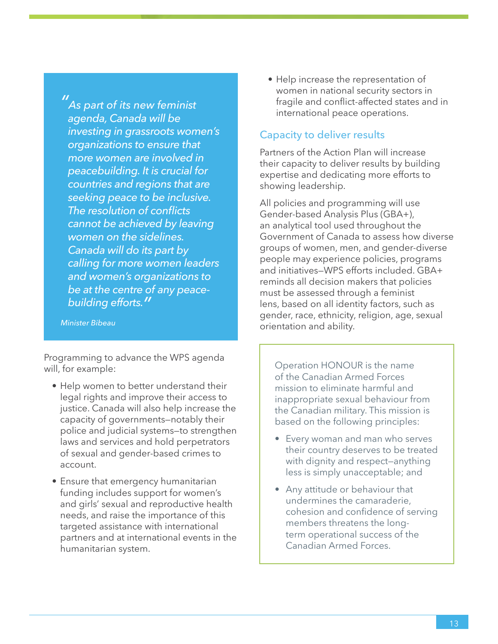*" As part of its new feminist agenda, Canada will be investing in grassroots women's organizations to ensure that more women are involved in peacebuilding. It is crucial for countries and regions that are seeking peace to be inclusive. The resolution of conflicts cannot be achieved by leaving women on the sidelines. Canada will do its part by calling for more women leaders and women's organizations to be at the centre of any peacebuilding efforts."*

*Minister Bibeau*

Programming to advance the WPS agenda will, for example:

- Help women to better understand their legal rights and improve their access to justice. Canada will also help increase the capacity of governments—notably their police and judicial systems—to strengthen laws and services and hold perpetrators of sexual and gender-based crimes to account.
- Ensure that emergency humanitarian funding includes support for women's and girls' sexual and reproductive health needs, and raise the importance of this targeted assistance with international partners and at international events in the humanitarian system.

• Help increase the representation of women in national security sectors in fragile and conflict-affected states and in international peace operations.

#### Capacity to deliver results

Partners of the Action Plan will increase their capacity to deliver results by building expertise and dedicating more efforts to showing leadership.

All policies and programming will use Gender-based Analysis Plus (GBA+), an analytical tool used throughout the Government of Canada to assess how diverse groups of women, men, and gender-diverse people may experience policies, programs and initiatives—WPS efforts included. GBA+ reminds all decision makers that policies must be assessed through a feminist lens, based on all identity factors, such as gender, race, ethnicity, religion, age, sexual orientation and ability.

Operation HONOUR is the name of the Canadian Armed Forces mission to eliminate harmful and inappropriate sexual behaviour from the Canadian military. This mission is based on the following principles:

- Every woman and man who serves their country deserves to be treated with dignity and respect—anything less is simply unacceptable; and
- Any attitude or behaviour that undermines the camaraderie, cohesion and confidence of serving members threatens the longterm operational success of the Canadian Armed Forces.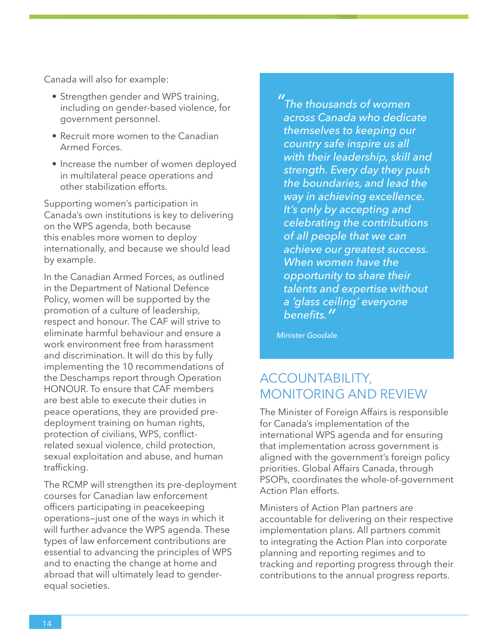Canada will also for example:

- Strengthen gender and WPS training, including on gender-based violence, for government personnel.
- Recruit more women to the Canadian Armed Forces.
- Increase the number of women deployed in multilateral peace operations and other stabilization efforts.

Supporting women's participation in Canada's own institutions is key to delivering on the WPS agenda, both because this enables more women to deploy internationally, and because we should lead by example.

In the Canadian Armed Forces, as outlined in the Department of National Defence Policy, women will be supported by the promotion of a culture of leadership, respect and honour. The CAF will strive to eliminate harmful behaviour and ensure a work environment free from harassment and discrimination. It will do this by fully implementing the 10 recommendations of the Deschamps report through Operation HONOUR. To ensure that CAF members are best able to execute their duties in peace operations, they are provided predeployment training on human rights, protection of civilians, WPS, conflictrelated sexual violence, child protection, sexual exploitation and abuse, and human trafficking.

The RCMP will strengthen its pre-deployment courses for Canadian law enforcement officers participating in peacekeeping operations—just one of the ways in which it will further advance the WPS agenda. These types of law enforcement contributions are essential to advancing the principles of WPS and to enacting the change at home and abroad that will ultimately lead to genderequal societies.

*" The thousands of women across Canada who dedicate themselves to keeping our country safe inspire us all with their leadership, skill and strength. Every day they push the boundaries, and lead the way in achieving excellence. It's only by accepting and celebrating the contributions of all people that we can achieve our greatest success. When women have the opportunity to share their talents and expertise without a 'glass ceiling' everyone benefits."*

*Minister Goodale*

#### ACCOUNTABILITY, MONITORING AND REVIEW

The Minister of Foreign Affairs is responsible for Canada's implementation of the international WPS agenda and for ensuring that implementation across government is aligned with the government's foreign policy priorities. Global Affairs Canada, through PSOPs, coordinates the whole-of-government Action Plan efforts.

Ministers of Action Plan partners are accountable for delivering on their respective implementation plans. All partners commit to integrating the Action Plan into corporate planning and reporting regimes and to tracking and reporting progress through their contributions to the annual progress reports.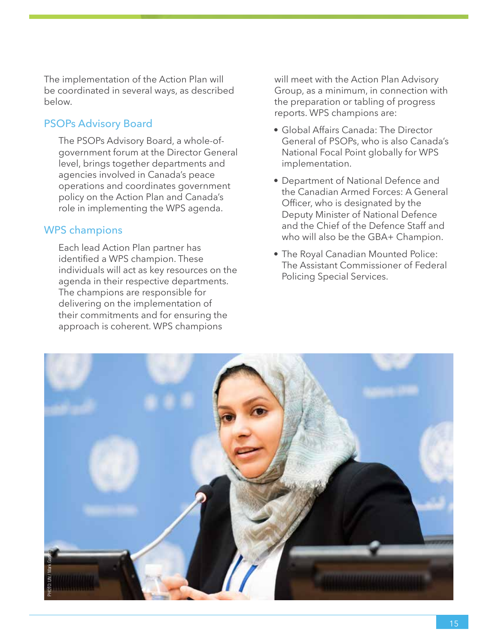The implementation of the Action Plan will be coordinated in several ways, as described below.

#### PSOPs Advisory Board

The PSOPs Advisory Board, a whole-ofgovernment forum at the Director General level, brings together departments and agencies involved in Canada's peace operations and coordinates government policy on the Action Plan and Canada's role in implementing the WPS agenda.

#### WPS champions

Each lead Action Plan partner has identified a WPS champion. These individuals will act as key resources on the agenda in their respective departments. The champions are responsible for delivering on the implementation of their commitments and for ensuring the approach is coherent. WPS champions

will meet with the Action Plan Advisory Group, as a minimum, in connection with the preparation or tabling of progress reports. WPS champions are:

- Global Affairs Canada: The Director General of PSOPs, who is also Canada's National Focal Point globally for WPS implementation.
- Department of National Defence and the Canadian Armed Forces: A General Officer, who is designated by the Deputy Minister of National Defence and the Chief of the Defence Staff and who will also be the GBA+ Champion.
- The Royal Canadian Mounted Police: The Assistant Commissioner of Federal Policing Special Services.

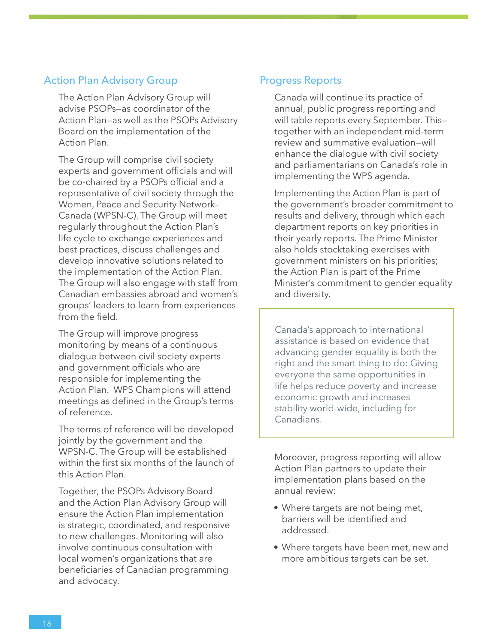#### Action Plan Advisory Group

The Action Plan Advisory Group will advise PSOPs—as coordinator of the Action Plan—as well as the PSOPs Advisory Board on the implementation of the Action Plan.

The Group will comprise civil society experts and government officials and will be co-chaired by a PSOPs official and a representative of civil society through the Women, Peace and Security Network-Canada (WPSN-C). The Group will meet regularly throughout the Action Plan's life cycle to exchange experiences and best practices, discuss challenges and develop innovative solutions related to the implementation of the Action Plan. The Group will also engage with staff from Canadian embassies abroad and women's groups' leaders to learn from experiences from the field.

The Group will improve progress monitoring by means of a continuous dialogue between civil society experts and government officials who are responsible for implementing the Action Plan. WPS Champions will attend meetings as defined in the Group's terms of reference.

The terms of reference will be developed jointly by the government and the WPSN-C. The Group will be established within the first six months of the launch of this Action Plan.

Together, the PSOPs Advisory Board and the Action Plan Advisory Group will ensure the Action Plan implementation is strategic, coordinated, and responsive to new challenges. Monitoring will also involve continuous consultation with local women's organizations that are beneficiaries of Canadian programming and advocacy.

#### Progress Reports

Canada will continue its practice of annual, public progress reporting and will table reports every September. This together with an independent mid-term review and summative evaluation—will enhance the dialogue with civil society and parliamentarians on Canada's role in implementing the WPS agenda.

Implementing the Action Plan is part of the government's broader commitment to results and delivery, through which each department reports on key priorities in their yearly reports. The Prime Minister also holds stocktaking exercises with government ministers on his priorities; the Action Plan is part of the Prime Minister's commitment to gender equality and diversity.

Canada's approach to international assistance is based on evidence that advancing gender equality is both the right and the smart thing to do: Giving everyone the same opportunities in life helps reduce poverty and increase economic growth and increases stability world-wide, including for Canadians.

Moreover, progress reporting will allow Action Plan partners to update their implementation plans based on the annual review:

- Where targets are not being met, barriers will be identified and addressed.
- Where targets have been met, new and more ambitious targets can be set.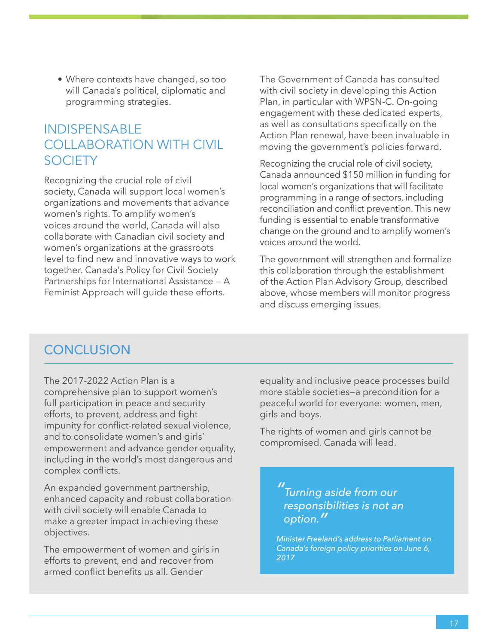• Where contexts have changed, so too will Canada's political, diplomatic and programming strategies.

## INDISPENSABLE COLLABORATION WITH CIVIL **SOCIETY**

Recognizing the crucial role of civil society, Canada will support local women's organizations and movements that advance women's rights. To amplify women's voices around the world, Canada will also collaborate with Canadian civil society and women's organizations at the grassroots level to find new and innovative ways to work together. Canada's Policy for Civil Society Partnerships for International Assistance — A Feminist Approach will guide these efforts.

The Government of Canada has consulted with civil society in developing this Action Plan, in particular with WPSN-C. On-going engagement with these dedicated experts, as well as consultations specifically on the Action Plan renewal, have been invaluable in moving the government's policies forward.

Recognizing the crucial role of civil society, Canada announced \$150 million in funding for local women's organizations that will facilitate programming in a range of sectors, including reconciliation and conflict prevention. This new funding is essential to enable transformative change on the ground and to amplify women's voices around the world.

The government will strengthen and formalize this collaboration through the establishment of the Action Plan Advisory Group, described above, whose members will monitor progress and discuss emerging issues.

### **CONCLUSION**

The 2017-2022 Action Plan is a comprehensive plan to support women's full participation in peace and security efforts, to prevent, address and fight impunity for conflict-related sexual violence, and to consolidate women's and girls' empowerment and advance gender equality, including in the world's most dangerous and complex conflicts.

An expanded government partnership, enhanced capacity and robust collaboration with civil society will enable Canada to make a greater impact in achieving these objectives.

The empowerment of women and girls in efforts to prevent, end and recover from armed conflict benefits us all. Gender

equality and inclusive peace processes build more stable societies—a precondition for a peaceful world for everyone: women, men, girls and boys.

The rights of women and girls cannot be compromised. Canada will lead.

> *" Turning aside from our responsibilities is not an option."*

*Minister Freeland's address to Parliament on Canada's foreign policy priorities on June 6, 2017*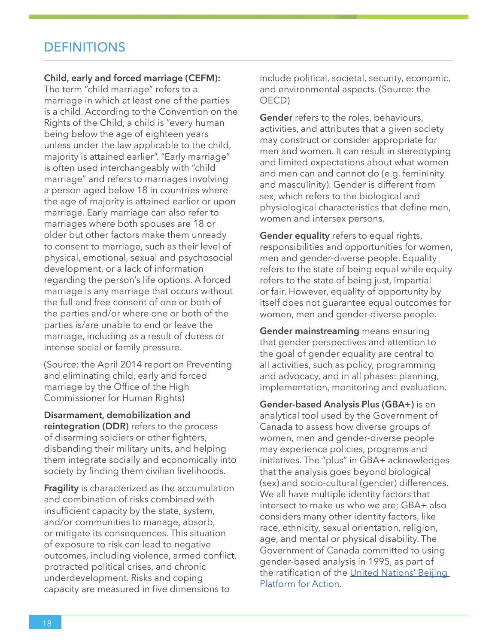### **DEFINITIONS**

#### **Child, early and forced marriage (CEFM):**

The term "child marriage" refers to a marriage in which at least one of the parties is a child. According to the Convention on the Rights of the Child, a child is "every human being below the age of eighteen years unless under the law applicable to the child, majority is attained earlier". "Early marriage" is often used interchangeably with "child marriage" and refers to marriages involving a person aged below 18 in countries where the age of majority is attained earlier or upon marriage. Early marriage can also refer to marriages where both spouses are 18 or older but other factors make them unready to consent to marriage, such as their level of physical, emotional, sexual and psychosocial development, or a lack of information regarding the person's life options. A forced marriage is any marriage that occurs without the full and free consent of one or both of the parties and/or where one or both of the parties is/are unable to end or leave the marriage, including as a result of duress or intense social or family pressure.

(Source: the April 2014 report on Preventing and eliminating child, early and forced marriage by the Office of the High Commissioner for Human Rights)

**Disarmament, demobilization and reintegration (DDR)** refers to the process of disarming soldiers or other fighters, disbanding their military units, and helping them integrate socially and economically into society by finding them civilian livelihoods.

**Fragility** is characterized as the accumulation and combination of risks combined with insufficient capacity by the state, system, and/or communities to manage, absorb, or mitigate its consequences. This situation of exposure to risk can lead to negative outcomes, including violence, armed conflict, protracted political crises, and chronic underdevelopment. Risks and coping capacity are measured in five dimensions to

include political, societal, security, economic, and environmental aspects. (Source: the OECD)

**Gender** refers to the roles, behaviours, activities, and attributes that a given society may construct or consider appropriate for men and women. It can result in stereotyping and limited expectations about what women and men can and cannot do (e.g. femininity and masculinity). Gender is different from sex, which refers to the biological and physiological characteristics that define men, women and intersex persons.

**Gender equality** refers to equal rights, responsibilities and opportunities for women, men and gender-diverse people. Equality refers to the state of being equal while equity refers to the state of being just, impartial or fair. However, equality of opportunity by itself does not guarantee equal outcomes for women, men and gender-diverse people.

**Gender mainstreaming** means ensuring that gender perspectives and attention to the goal of gender equality are central to all activities, such as policy, programming and advocacy, and in all phases: planning, implementation, monitoring and evaluation.

**Gender-based Analysis Plus (GBA+)** is an analytical tool used by the Government of Canada to assess how diverse groups of women, men and gender-diverse people may experience policies, programs and initiatives. The "plus" in GBA+ acknowledges that the analysis goes beyond biological (sex) and socio-cultural (gender) differences. We all have multiple identity factors that intersect to make us who we are; GBA+ also considers many other identity factors, like race, ethnicity, sexual orientation, religion, age, and mental or physical disability. The Government of Canada committed to using gender-based analysis in 1995, as part of the ratification of the [United Nations' Beijing](http://www.un.org/womenwatch/daw/beijing/platform/declar.htm)  [Platform for Action](http://www.un.org/womenwatch/daw/beijing/platform/declar.htm).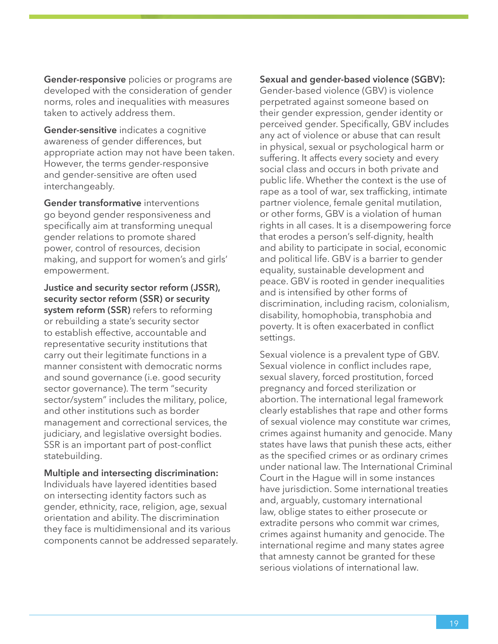**Gender-responsive** policies or programs are developed with the consideration of gender norms, roles and inequalities with measures taken to actively address them.

**Gender-sensitive** indicates a cognitive awareness of gender differences, but appropriate action may not have been taken. However, the terms gender-responsive and gender-sensitive are often used interchangeably.

**Gender transformative** interventions go beyond gender responsiveness and specifically aim at transforming unequal gender relations to promote shared power, control of resources, decision making, and support for women's and girls' empowerment.

**Justice and security sector reform (JSSR), security sector reform (SSR) or security system reform (SSR)** refers to reforming or rebuilding a state's security sector to establish effective, accountable and representative security institutions that carry out their legitimate functions in a manner consistent with democratic norms and sound governance (i.e. good security sector governance). The term "security sector/system" includes the military, police, and other institutions such as border management and correctional services, the judiciary, and legislative oversight bodies. SSR is an important part of post-conflict statebuilding.

**Multiple and intersecting discrimination:** Individuals have layered identities based on intersecting identity factors such as gender, ethnicity, race, religion, age, sexual orientation and ability. The discrimination they face is multidimensional and its various components cannot be addressed separately.

#### **Sexual and gender-based violence (SGBV):**

Gender-based violence (GBV) is violence perpetrated against someone based on their gender expression, gender identity or perceived gender. Specifically, GBV includes any act of violence or abuse that can result in physical, sexual or psychological harm or suffering. It affects every society and every social class and occurs in both private and public life. Whether the context is the use of rape as a tool of war, sex trafficking, intimate partner violence, female genital mutilation, or other forms, GBV is a violation of human rights in all cases. It is a disempowering force that erodes a person's self-dignity, health and ability to participate in social, economic and political life. GBV is a barrier to gender equality, sustainable development and peace. GBV is rooted in gender inequalities and is intensified by other forms of discrimination, including racism, colonialism, disability, homophobia, transphobia and poverty. It is often exacerbated in conflict settings.

Sexual violence is a prevalent type of GBV. Sexual violence in conflict includes rape, sexual slavery, forced prostitution, forced pregnancy and forced sterilization or abortion. The international legal framework clearly establishes that rape and other forms of sexual violence may constitute war crimes, crimes against humanity and genocide. Many states have laws that punish these acts, either as the specified crimes or as ordinary crimes under national law. The International Criminal Court in the Hague will in some instances have jurisdiction. Some international treaties and, arguably, customary international law, oblige states to either prosecute or extradite persons who commit war crimes, crimes against humanity and genocide. The international regime and many states agree that amnesty cannot be granted for these serious violations of international law.